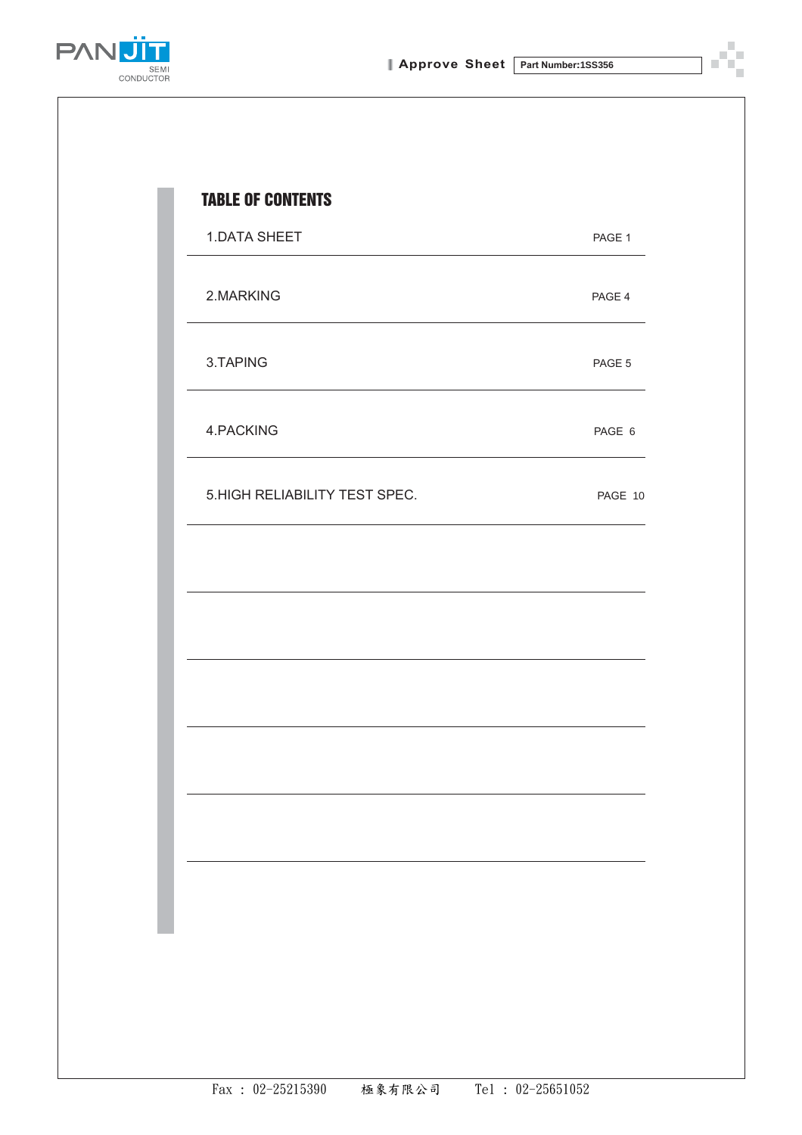

j.

ш



| 1.DATA SHEET                  | PAGE 1  |
|-------------------------------|---------|
| 2.MARKING                     | PAGE 4  |
| 3.TAPING                      | PAGE 5  |
| 4.PACKING                     | PAGE 6  |
| 5.HIGH RELIABILITY TEST SPEC. | PAGE 10 |
|                               |         |
|                               |         |
|                               |         |
|                               |         |
|                               |         |
|                               |         |
|                               |         |
|                               |         |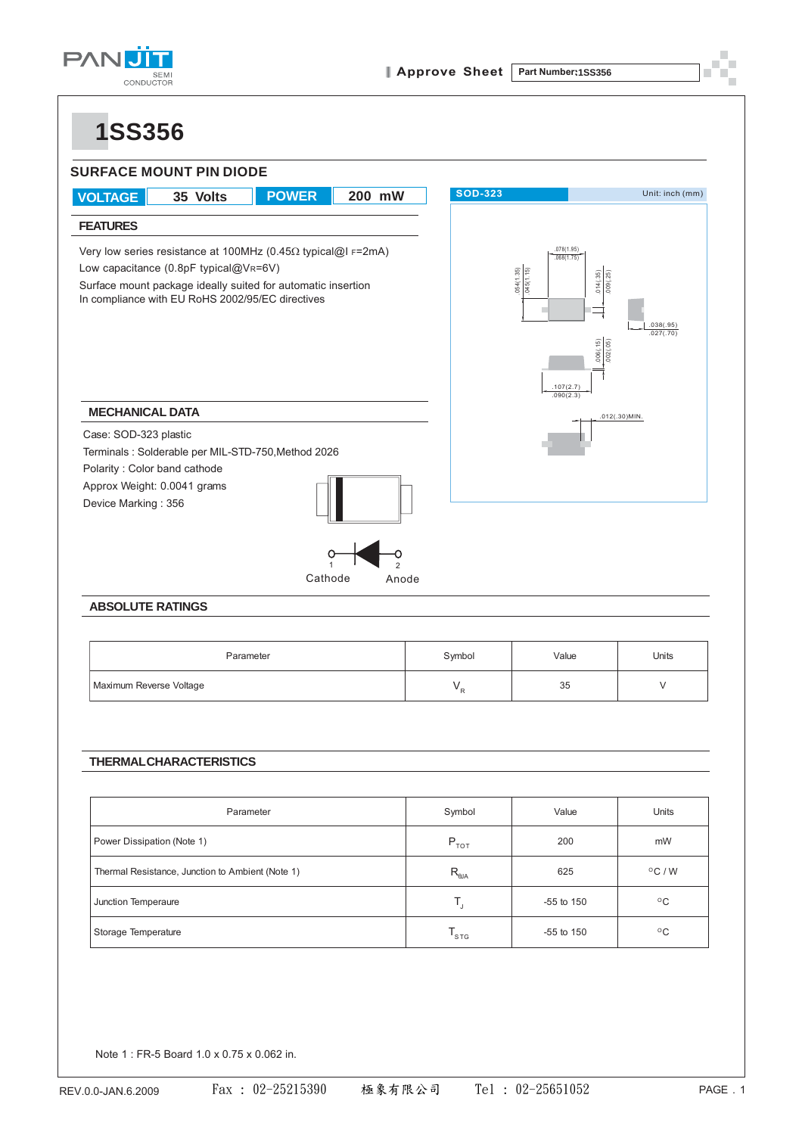

### **1SS356**



# Parameter and the symbol the Value and Units Maximum Reverse Voltage  $V_R$  55 V

### **THERMAL CHARACTERISTICS**

| Parameter                                        | Symbol                                  | Value          | <b>Units</b>        |
|--------------------------------------------------|-----------------------------------------|----------------|---------------------|
| Power Dissipation (Note 1)                       | $P_{\tau \circ \tau}$                   | 200            | mW                  |
| Thermal Resistance, Junction to Ambient (Note 1) | $R_{_{\rm QJA}}$                        | 625            | $\rm ^{\circ}C$ / W |
| Junction Temperaure                              | Ι,                                      | $-55$ to $150$ | $^{\circ}$ C        |
| Storage Temperature                              | $\mathsf{T}_{\textsf{s}\tau\textsf{s}}$ | $-55$ to $150$ | $^{\circ}$ C        |

Note 1 : FR-5 Board 1.0 x 0.75 x 0.062 in.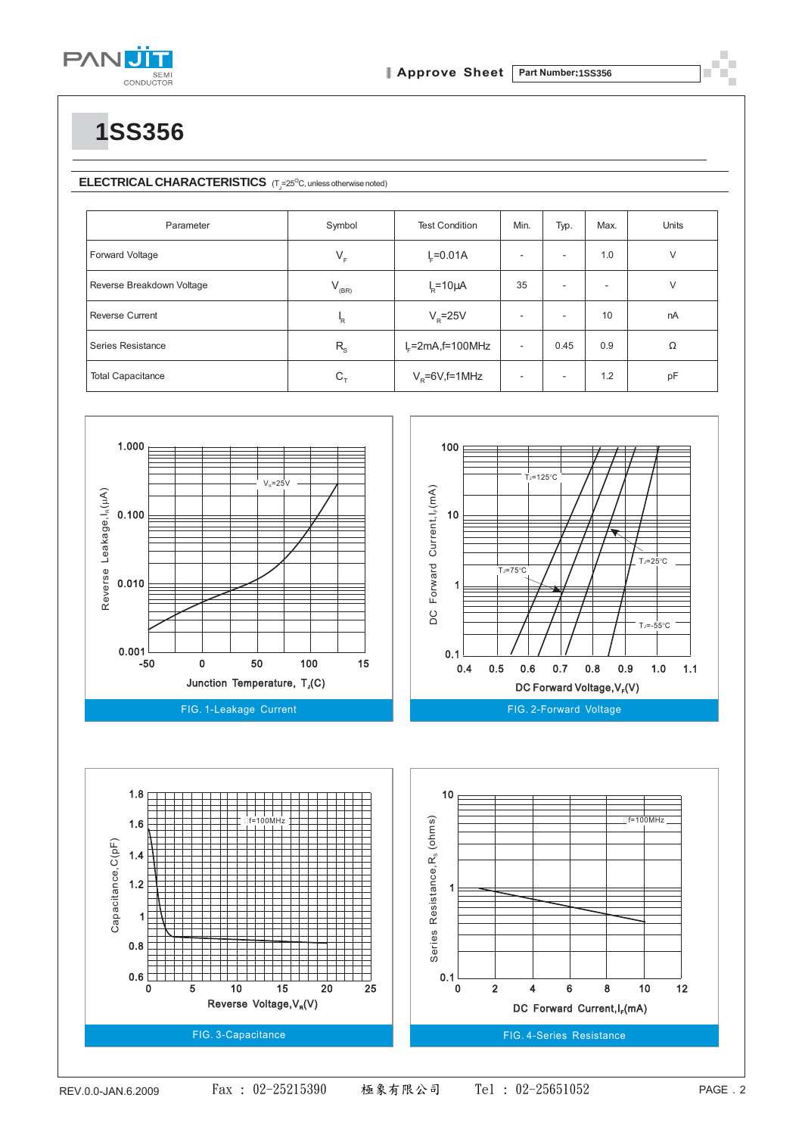

**1SS356**

### **ELECTRICAL CHARACTERISTICS** (T<sub>J</sub>=25<sup>O</sup>C, unless otherwise noted)

| Parameter                 | Symbol           | <b>Test Condition</b>  | Min.                     | Typ.                     | Max.                     | <b>Units</b> |
|---------------------------|------------------|------------------------|--------------------------|--------------------------|--------------------------|--------------|
| Forward Voltage           | $V_F$            | $I_c = 0.01A$          |                          | -                        | 1.0                      | $\vee$       |
| Reverse Breakdown Voltage | $V_{_{\rm(BR)}}$ | $IR=10\mu A$           | 35                       | $\overline{\phantom{a}}$ | $\overline{\phantom{a}}$ | V            |
| <b>Reverse Current</b>    | 'R               | $V_{\rm R}$ =25V       | $\overline{\phantom{a}}$ |                          | 10                       | nA           |
| Series Resistance         | $R_{\rm s}$      | $I_c$ =2mA,f=100MHz    | $\overline{\phantom{a}}$ | 0.45                     | 0.9                      | Ω            |
| <b>Total Capacitance</b>  | $C_{\tau}$       | $V_{\rm R}$ =6V,f=1MHz | $\overline{\phantom{a}}$ |                          | 1.2                      | pF           |



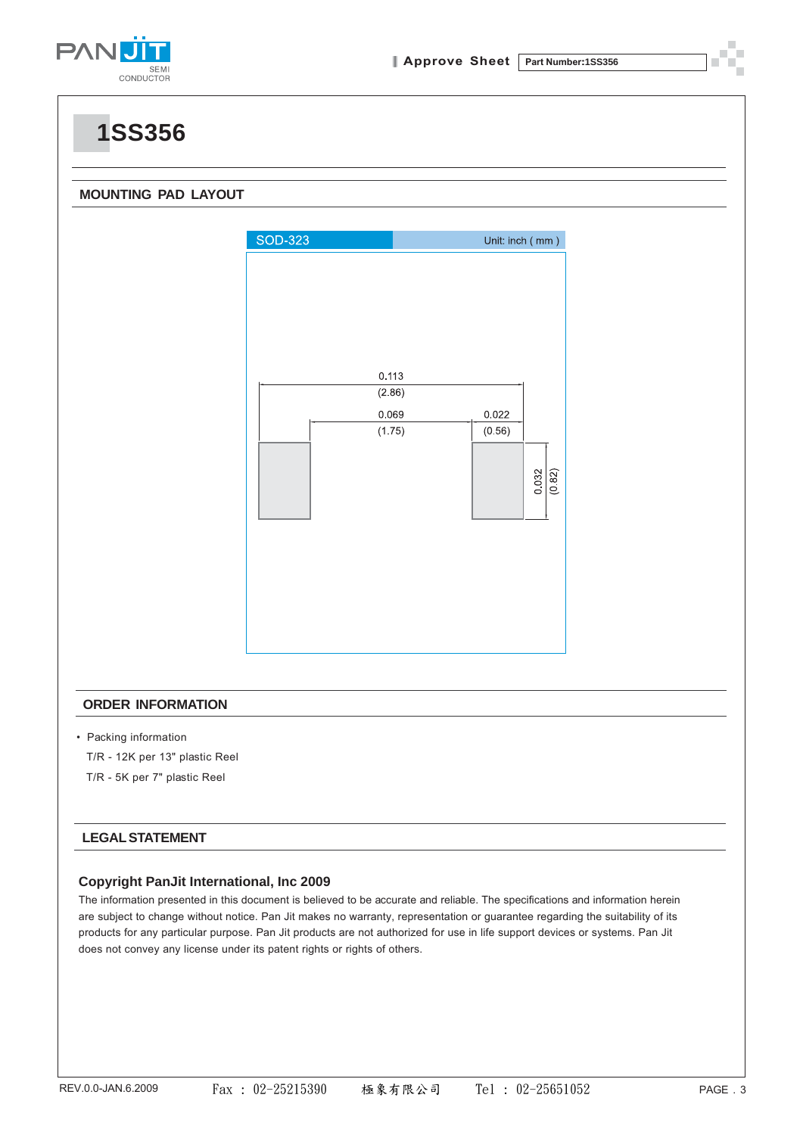

### **1SS356**

### **MOUNTING PAD LAYOUT**



#### **ORDER INFORMATION**

- Packing information
	- T/R 12K per 13" plastic Reel
	- T/R 5K per 7" plastic Reel

#### **LEGAL STATEMENT**

#### **Copyright PanJit International, Inc 2009**

The information presented in this document is believed to be accurate and reliable. The specifications and information herein are subject to change without notice. Pan Jit makes no warranty, representation or guarantee regarding the suitability of its products for any particular purpose. Pan Jit products are not authorized for use in life support devices or systems. Pan Jit does not convey any license under its patent rights or rights of others.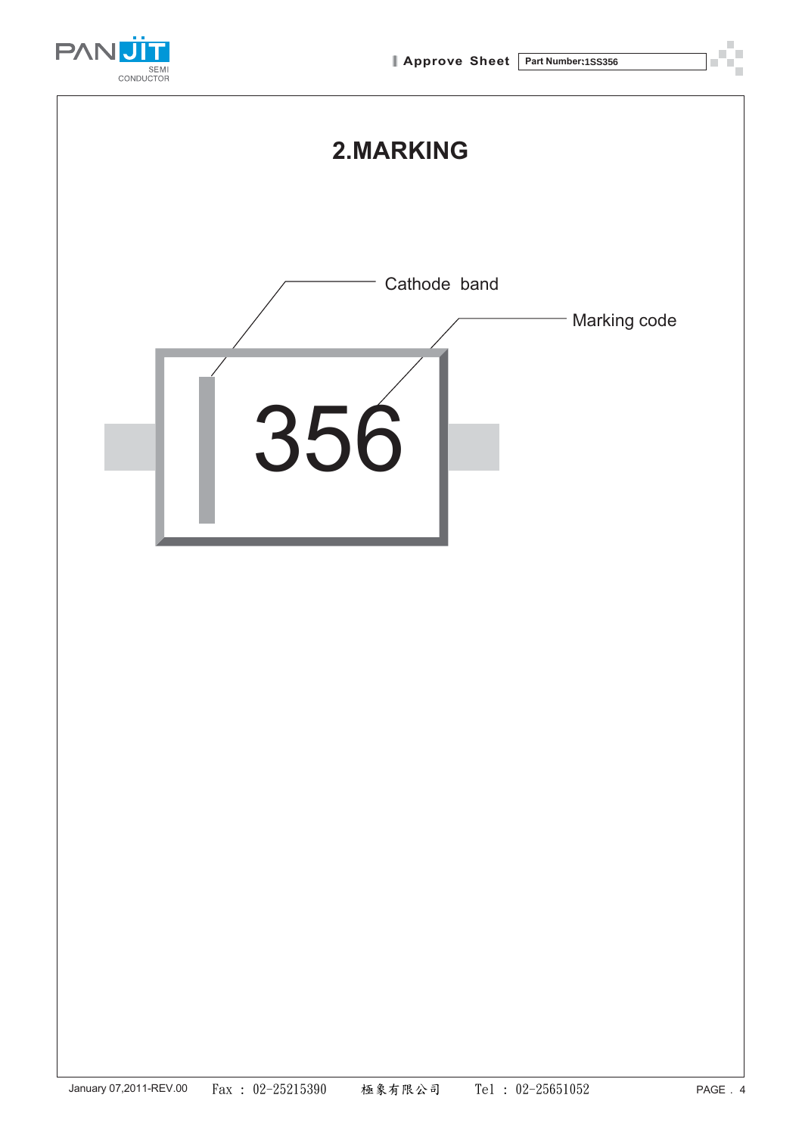





**2.MARKING**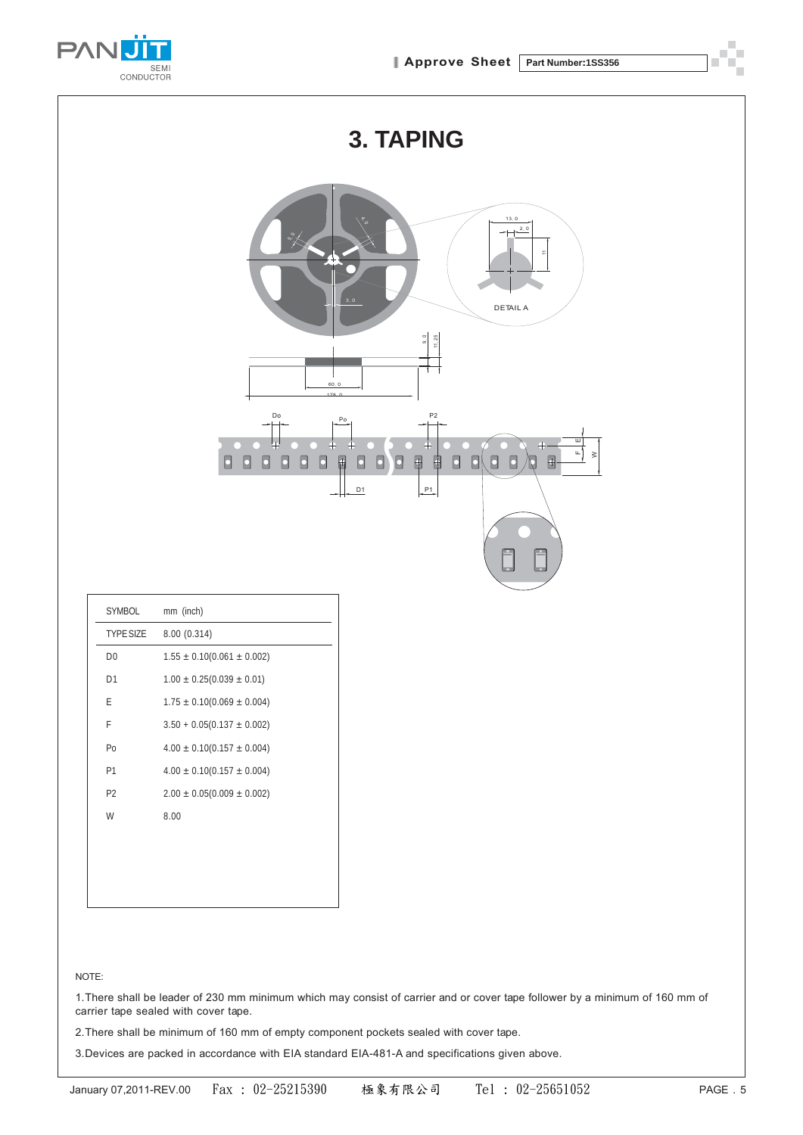

|                                                | <b>3. TAPING</b>                                                                                                                                                                                                  |  |  |  |  |
|------------------------------------------------|-------------------------------------------------------------------------------------------------------------------------------------------------------------------------------------------------------------------|--|--|--|--|
|                                                | 13.0<br>2, 0<br>⊢<br>$\overline{\phantom{a}}$<br>3, 0<br>DETAIL A                                                                                                                                                 |  |  |  |  |
|                                                | $\begin{array}{ c } 9.0 \\ \hline 1.25 \end{array}$<br>60, 0                                                                                                                                                      |  |  |  |  |
|                                                | 178.0<br>Do<br>P <sub>2</sub><br>P <sub>o</sub>                                                                                                                                                                   |  |  |  |  |
|                                                | 파<br>Ш<br>$\ddotplus$<br>$\frac{1}{2}$ $\geq$<br>$\blacksquare$<br>$\Box$<br>$\Box$<br>$\Box$<br>0<br>$\blacksquare$<br>$\Box$<br>$\Box$<br>$\blacksquare$<br>$\Box$<br>0<br>0<br>$\Box$<br>O<br>₿<br>$\Box$<br>Ŋ |  |  |  |  |
|                                                | P1<br>D1<br>$++$                                                                                                                                                                                                  |  |  |  |  |
|                                                |                                                                                                                                                                                                                   |  |  |  |  |
|                                                | F<br>L.                                                                                                                                                                                                           |  |  |  |  |
|                                                |                                                                                                                                                                                                                   |  |  |  |  |
| SYMBOL                                         | mm (inch)                                                                                                                                                                                                         |  |  |  |  |
| <b>TYPE SIZE</b>                               | 8.00 (0.314)                                                                                                                                                                                                      |  |  |  |  |
| ${\sf D}0$                                     | $1.55 \pm 0.10(0.061 \pm 0.002)$                                                                                                                                                                                  |  |  |  |  |
| D <sub>1</sub>                                 | $1.00 \pm 0.25(0.039 \pm 0.01)$                                                                                                                                                                                   |  |  |  |  |
| $\mathsf{E}% _{0}\left( \mathsf{E}_{0}\right)$ | $1.75 \pm 0.10(0.069 \pm 0.004)$                                                                                                                                                                                  |  |  |  |  |
| F                                              | $3.50 + 0.05(0.137 \pm 0.002)$                                                                                                                                                                                    |  |  |  |  |
| Po                                             | $4.00 \pm 0.10(0.157 \pm 0.004)$                                                                                                                                                                                  |  |  |  |  |
| P1                                             | $4.00 \pm 0.10(0.157 \pm 0.004)$                                                                                                                                                                                  |  |  |  |  |

#### NOTE:

P2  $2.00 \pm 0.05(0.009 \pm 0.002)$ 

W 8.00

1.There shall be leader of 230 mm minimum which may consist of carrier and or cover tape follower by a minimum of 160 mm of carrier tape sealed with cover tape.

2.There shall be minimum of 160 mm of empty component pockets sealed with cover tape.

3.Devices are packed in accordance with EIA standard EIA-481-A and specifications given above.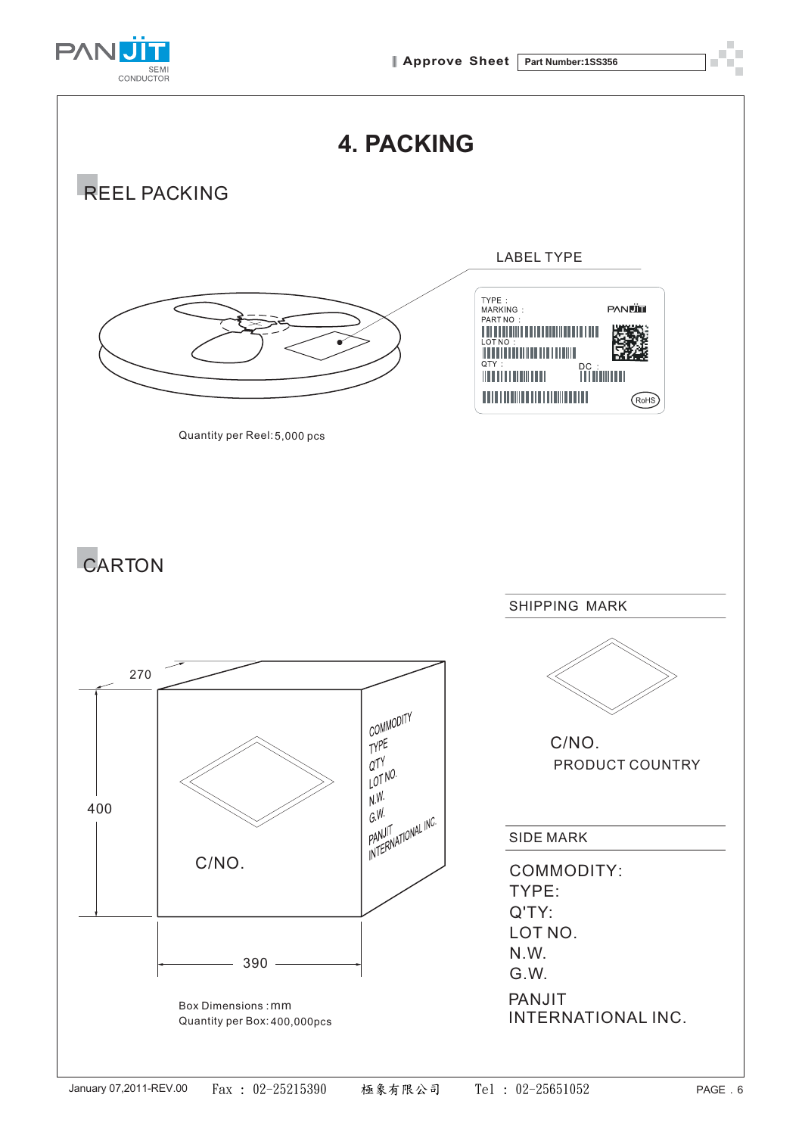





**4. PACKING**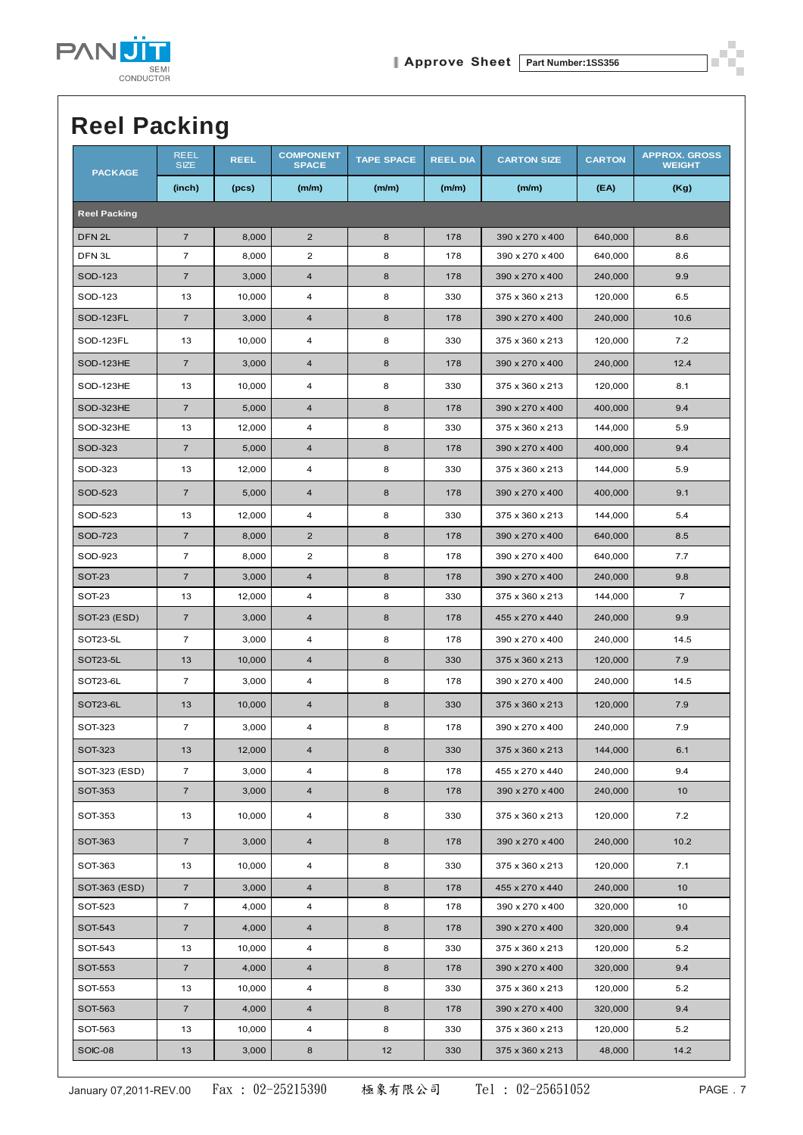

## **Reel Packing**

| <b>PACKAGE</b>      | <b>REEL</b><br><b>SIZE</b> | <b>REEL</b> | <b>COMPONENT</b><br><b>SPACE</b> | <b>TAPE SPACE</b> | <b>REEL DIA</b> | <b>CARTON SIZE</b> | <b>CARTON</b> | <b>APPROX. GROSS</b><br><b>WEIGHT</b> |
|---------------------|----------------------------|-------------|----------------------------------|-------------------|-----------------|--------------------|---------------|---------------------------------------|
|                     | (inch)                     | (pcs)       | (m/m)                            | (m/m)             | (m/m)           | (m/m)              | (EA)          | (Kg)                                  |
| <b>Reel Packing</b> |                            |             |                                  |                   |                 |                    |               |                                       |
| DFN <sub>2L</sub>   | $\overline{7}$             | 8,000       | $\overline{2}$                   | 8                 | 178             | 390 x 270 x 400    | 640,000       | 8.6                                   |
| DFN <sub>3L</sub>   | $\overline{7}$             | 8,000       | $\overline{2}$                   | 8                 | 178             | 390 x 270 x 400    | 640,000       | 8.6                                   |
| SOD-123             | $\overline{7}$             | 3,000       | $\overline{4}$                   | 8                 | 178             | 390 x 270 x 400    | 240,000       | 9.9                                   |
| SOD-123             | 13                         | 10,000      | 4                                | 8                 | 330             | 375 x 360 x 213    | 120,000       | 6.5                                   |
| SOD-123FL           | $\overline{7}$             | 3,000       | $\overline{\mathbf{4}}$          | 8                 | 178             | 390 x 270 x 400    | 240,000       | 10.6                                  |
| SOD-123FL           | 13                         | 10,000      | 4                                | 8                 | 330             | 375 x 360 x 213    | 120,000       | 7.2                                   |
| SOD-123HE           | $\overline{7}$             | 3,000       | $\overline{\mathbf{4}}$          | 8                 | 178             | 390 x 270 x 400    | 240,000       | 12.4                                  |
| SOD-123HE           | 13                         | 10,000      | 4                                | 8                 | 330             | 375 x 360 x 213    | 120,000       | 8.1                                   |
| SOD-323HE           | $\overline{7}$             | 5,000       | $\overline{4}$                   | 8                 | 178             | 390 x 270 x 400    | 400,000       | 9.4                                   |
| SOD-323HE           | 13                         | 12,000      | 4                                | 8                 | 330             | 375 x 360 x 213    | 144,000       | 5.9                                   |
| SOD-323             | $\overline{7}$             | 5,000       | $\overline{4}$                   | 8                 | 178             | 390 x 270 x 400    | 400,000       | 9.4                                   |
| SOD-323             | 13                         | 12,000      | 4                                | 8                 | 330             | 375 x 360 x 213    | 144,000       | 5.9                                   |
| SOD-523             | $\overline{7}$             | 5.000       | $\overline{\mathbf{4}}$          | 8                 | 178             | 390 x 270 x 400    | 400,000       | 9.1                                   |
| SOD-523             | 13                         | 12,000      | 4                                | 8                 | 330             | 375 x 360 x 213    | 144,000       | 5.4                                   |
| SOD-723             | $\overline{7}$             | 8,000       | $\overline{2}$                   | 8                 | 178             | 390 x 270 x 400    | 640,000       | 8.5                                   |
| SOD-923             | $\overline{7}$             | 8,000       | $\overline{2}$                   | 8                 | 178             | 390 x 270 x 400    | 640,000       | 7.7                                   |
| <b>SOT-23</b>       | $\overline{7}$             | 3,000       | $\overline{\mathbf{4}}$          | 8                 | 178             | 390 x 270 x 400    | 240,000       | 9.8                                   |
| SOT-23              | 13                         | 12,000      | 4                                | 8                 | 330             | 375 x 360 x 213    | 144,000       | $\overline{7}$                        |
| SOT-23 (ESD)        | $\overline{7}$             | 3,000       | $\overline{\mathbf{4}}$          | 8                 | 178             | 455 x 270 x 440    | 240,000       | 9.9                                   |
| SOT23-5L            | $\overline{7}$             | 3,000       | 4                                | 8                 | 178             | 390 x 270 x 400    | 240,000       | 14.5                                  |
| SOT23-5L            | 13                         | 10,000      | $\overline{\mathbf{4}}$          | 8                 | 330             | 375 x 360 x 213    | 120,000       | 7.9                                   |
| SOT23-6L            | $\overline{7}$             | 3,000       | 4                                | 8                 | 178             | 390 x 270 x 400    | 240,000       | 14.5                                  |
| SOT23-6L            | 13                         | 10,000      | $\overline{4}$                   | 8                 | 330             | 375 x 360 x 213    | 120,000       | 7.9                                   |
| SOT-323             | $\overline{7}$             | 3,000       | 4                                | 8                 | 178             | 390 x 270 x 400    | 240,000       | 7.9                                   |
| <b>SOT-323</b>      | 13                         | 12,000      | $\overline{\mathbf{4}}$          | 8                 | 330             | 375 x 360 x 213    | 144,000       | 6.1                                   |
| SOT-323 (ESD)       | $\overline{7}$             | 3,000       | 4                                | 8                 | 178             | 455 x 270 x 440    | 240,000       | 9.4                                   |
| <b>SOT-353</b>      | $\overline{7}$             | 3,000       | $\overline{\mathbf{4}}$          | 8                 | 178             | 390 x 270 x 400    | 240,000       | 10                                    |
| SOT-353             | 13                         | 10,000      | 4                                | 8                 | 330             | 375 x 360 x 213    | 120,000       | 7.2                                   |
| SOT-363             | $\overline{7}$             | 3,000       | $\overline{\mathbf{4}}$          | 8                 | 178             | 390 x 270 x 400    | 240,000       | 10.2                                  |
| SOT-363             | 13                         | 10,000      | 4                                | 8                 | 330             | 375 x 360 x 213    | 120,000       | 7.1                                   |
| SOT-363 (ESD)       | $\overline{7}$             | 3,000       | $\overline{4}$                   | 8                 | 178             | 455 x 270 x 440    | 240,000       | 10                                    |
| SOT-523             | $\overline{7}$             | 4,000       | 4                                | 8                 | 178             | 390 x 270 x 400    | 320,000       | 10                                    |
| SOT-543             | $\boldsymbol{7}$           | 4,000       | $\overline{4}$                   | 8                 | 178             | 390 x 270 x 400    | 320,000       | 9.4                                   |
| SOT-543             | 13                         | 10,000      | $\overline{\mathbf{4}}$          | 8                 | 330             | 375 x 360 x 213    | 120,000       | 5.2                                   |
| SOT-553             | $\overline{7}$             | 4,000       | $\overline{4}$                   | 8                 | 178             | 390 x 270 x 400    | 320,000       | 9.4                                   |
| SOT-553             | 13                         | 10,000      | $\overline{\mathbf{4}}$          | 8                 | 330             | 375 x 360 x 213    | 120,000       | 5.2                                   |
| SOT-563             | $\overline{7}$             | 4,000       | $\overline{4}$                   | 8                 | 178             | 390 x 270 x 400    | 320,000       | 9.4                                   |
| SOT-563             | 13                         | 10,000      | 4                                | 8                 | 330             | 375 x 360 x 213    | 120,000       | 5.2                                   |
| SOIC-08             | 13                         | 3,000       | 8                                | 12                | 330             | 375 x 360 x 213    | 48,000        | 14.2                                  |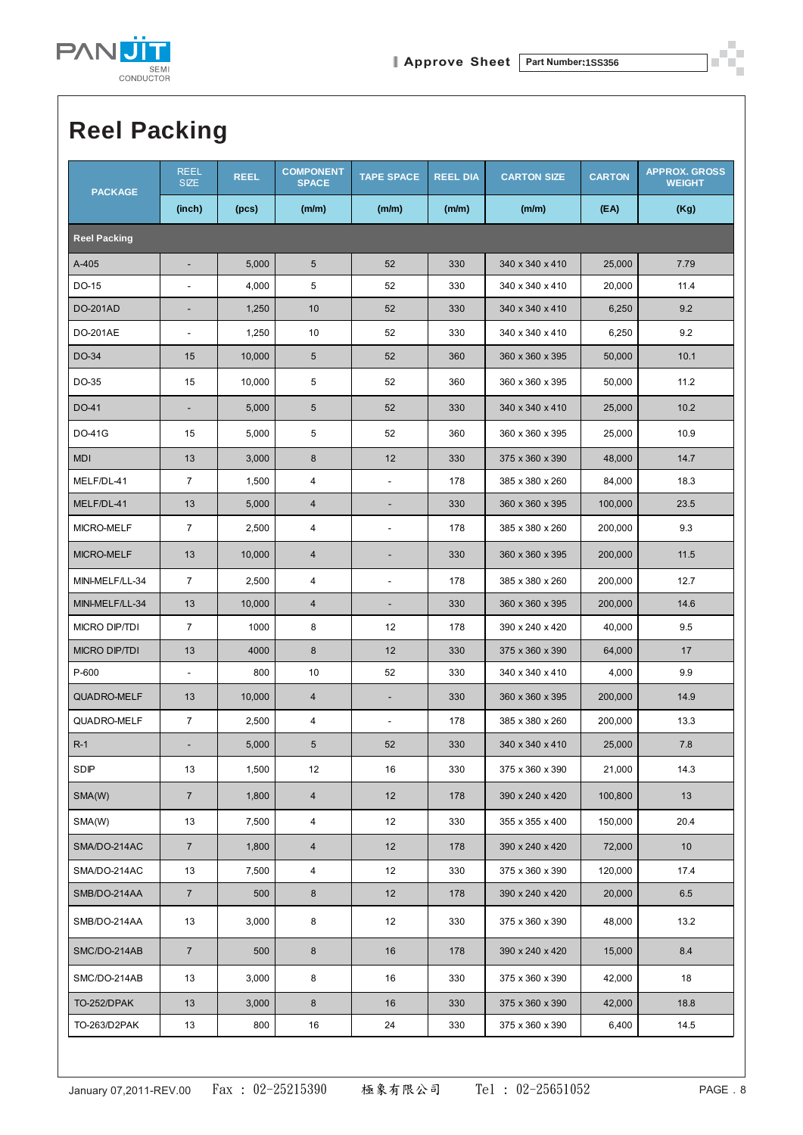

## **Reel Packing**

| <b>PACKAGE</b>       | <b>REEL</b><br><b>SIZE</b> | <b>REEL</b> | <b>COMPONENT</b><br><b>SPACE</b> | <b>TAPE SPACE</b>        | <b>REEL DIA</b> | <b>CARTON SIZE</b> | <b>CARTON</b> | <b>APPROX. GROSS</b><br><b>WEIGHT</b> |  |  |
|----------------------|----------------------------|-------------|----------------------------------|--------------------------|-----------------|--------------------|---------------|---------------------------------------|--|--|
|                      | (inch)                     | (pcs)       | (m/m)                            | (m/m)                    | (m/m)           | (m/m)              | (EA)          | (Kg)                                  |  |  |
| <b>Reel Packing</b>  |                            |             |                                  |                          |                 |                    |               |                                       |  |  |
| A-405                |                            | 5,000       | 5                                | 52                       | 330             | 340 x 340 x 410    | 25,000        | 7.79                                  |  |  |
| DO-15                |                            | 4,000       | 5                                | 52                       | 330             | 340 x 340 x 410    | 20,000        | 11.4                                  |  |  |
| <b>DO-201AD</b>      |                            | 1,250       | 10                               | 52                       | 330             | 340 x 340 x 410    | 6,250         | 9.2                                   |  |  |
| DO-201AE             | $\overline{a}$             | 1,250       | 10                               | 52                       | 330             | 340 x 340 x 410    | 6,250         | 9.2                                   |  |  |
| DO-34                | 15                         | 10,000      | 5                                | 52                       | 360             | 360 x 360 x 395    | 50,000        | 10.1                                  |  |  |
| DO-35                | 15                         | 10,000      | 5                                | 52                       | 360             | 360 x 360 x 395    | 50,000        | 11.2                                  |  |  |
| DO-41                | ۰                          | 5,000       | 5                                | 52                       | 330             | 340 x 340 x 410    | 25,000        | 10.2                                  |  |  |
| DO-41G               | 15                         | 5,000       | 5                                | 52                       | 360             | 360 x 360 x 395    | 25,000        | 10.9                                  |  |  |
| <b>MDI</b>           | 13                         | 3,000       | 8                                | 12                       | 330             | 375 x 360 x 390    | 48,000        | 14.7                                  |  |  |
| MELF/DL-41           | $\overline{7}$             | 1,500       | 4                                | $\overline{\phantom{a}}$ | 178             | 385 x 380 x 260    | 84,000        | 18.3                                  |  |  |
| MELF/DL-41           | 13                         | 5,000       | $\overline{4}$                   | $\overline{\phantom{a}}$ | 330             | 360 x 360 x 395    | 100,000       | 23.5                                  |  |  |
| MICRO-MELF           | $\overline{7}$             | 2,500       | 4                                | $\overline{\phantom{a}}$ | 178             | 385 x 380 x 260    | 200,000       | 9.3                                   |  |  |
| MICRO-MELF           | 13                         | 10,000      | 4                                | $\overline{\phantom{a}}$ | 330             | 360 x 360 x 395    | 200,000       | 11.5                                  |  |  |
| MINI-MELF/LL-34      | $\overline{7}$             | 2,500       | 4                                | $\overline{\phantom{a}}$ | 178             | 385 x 380 x 260    | 200,000       | 12.7                                  |  |  |
| MINI-MELF/LL-34      | 13                         | 10,000      | $\overline{4}$                   | $\overline{\phantom{a}}$ | 330             | 360 x 360 x 395    | 200,000       | 14.6                                  |  |  |
| <b>MICRO DIP/TDI</b> | $\overline{7}$             | 1000        | 8                                | 12                       | 178             | 390 x 240 x 420    | 40,000        | 9.5                                   |  |  |
| <b>MICRO DIP/TDI</b> | 13                         | 4000        | 8                                | 12                       | 330             | 375 x 360 x 390    | 64,000        | 17                                    |  |  |
| P-600                | $\overline{a}$             | 800         | 10                               | 52                       | 330             | 340 x 340 x 410    | 4,000         | 9.9                                   |  |  |
| QUADRO-MELF          | 13                         | 10,000      | 4                                | ٠                        | 330             | 360 x 360 x 395    | 200,000       | 14.9                                  |  |  |
| QUADRO-MELF          | $\overline{7}$             | 2,500       | 4                                | $\overline{\phantom{a}}$ | 178             | 385 x 380 x 260    | 200,000       | 13.3                                  |  |  |
| $R-1$                |                            | 5,000       | 5                                | 52                       | 330             | 340 x 340 x 410    | 25.000        | 7.8                                   |  |  |
| SDIP                 | 13                         | 1,500       | 12                               | 16                       | 330             | 375 x 360 x 390    | 21,000        | 14.3                                  |  |  |
| SMA(W)               | $7\overline{ }$            | 1,800       | 4                                | 12                       | 178             | 390 x 240 x 420    | 100,800       | 13                                    |  |  |
| SMA(W)               | 13                         | 7,500       | 4                                | 12                       | 330             | 355 x 355 x 400    | 150,000       | 20.4                                  |  |  |
| SMA/DO-214AC         | $7\overline{ }$            | 1,800       | $\overline{4}$                   | 12                       | 178             | 390 x 240 x 420    | 72,000        | 10 <sup>°</sup>                       |  |  |
| SMA/DO-214AC         | 13                         | 7,500       | 4                                | 12                       | 330             | 375 x 360 x 390    | 120,000       | 17.4                                  |  |  |
| SMB/DO-214AA         | $7\overline{ }$            | 500         | 8                                | 12                       | 178             | 390 x 240 x 420    | 20,000        | 6.5                                   |  |  |
| SMB/DO-214AA         | 13                         | 3,000       | 8                                | 12                       | 330             | 375 x 360 x 390    | 48,000        | 13.2                                  |  |  |
| SMC/DO-214AB         | $\overline{7}$             | 500         | $\bf 8$                          | 16                       | 178             | 390 x 240 x 420    | 15,000        | 8.4                                   |  |  |
| SMC/DO-214AB         | 13                         | 3,000       | 8                                | 16                       | 330             | 375 x 360 x 390    | 42,000        | 18                                    |  |  |
| TO-252/DPAK          | 13                         | 3,000       | 8                                | 16                       | 330             | 375 x 360 x 390    | 42,000        | 18.8                                  |  |  |
| TO-263/D2PAK         | 13                         | 800         | 16                               | 24                       | 330             | 375 x 360 x 390    | 6,400         | 14.5                                  |  |  |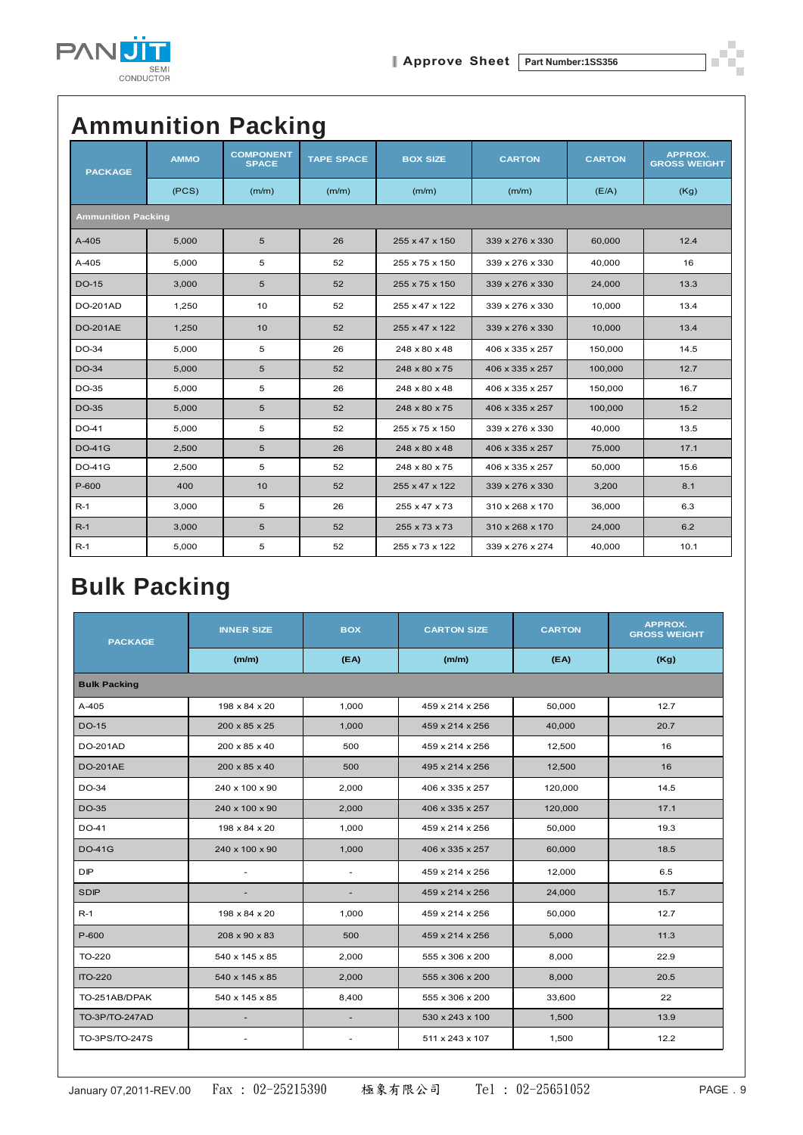

### **Ammunition Packing**

| <b>PACKAGE</b>            | <b>AMMO</b> | <b>COMPONENT</b><br><b>SPACE</b> | <b>TAPE SPACE</b> | <b>BOX SIZE</b> | <b>CARTON</b>   | <b>CARTON</b> | APPROX.<br><b>GROSS WEIGHT</b> |  |  |
|---------------------------|-------------|----------------------------------|-------------------|-----------------|-----------------|---------------|--------------------------------|--|--|
|                           | (PCS)       | (m/m)                            | (m/m)             | (m/m)           | (m/m)           | (E/A)         | (Kg)                           |  |  |
| <b>Ammunition Packing</b> |             |                                  |                   |                 |                 |               |                                |  |  |
| $A-405$                   | 5,000       | 5                                | 26                | 255 x 47 x 150  | 339 x 276 x 330 | 60,000        | 12.4                           |  |  |
| A-405                     | 5,000       | 5                                | 52                | 255 x 75 x 150  | 339 x 276 x 330 | 40,000        | 16                             |  |  |
| <b>DO-15</b>              | 3,000       | 5                                | 52                | 255 x 75 x 150  | 339 x 276 x 330 | 24,000        | 13.3                           |  |  |
| <b>DO-201AD</b>           | 1,250       | 10                               | 52                | 255 x 47 x 122  | 339 x 276 x 330 | 10.000        | 13.4                           |  |  |
| <b>DO-201AE</b>           | 1,250       | 10                               | 52                | 255 x 47 x 122  | 339 x 276 x 330 | 10.000        | 13.4                           |  |  |
| DO-34                     | 5,000       | 5                                | 26                | 248 x 80 x 48   | 406 x 335 x 257 | 150,000       | 14.5                           |  |  |
| DO-34                     | 5,000       | 5                                | 52                | 248 x 80 x 75   | 406 x 335 x 257 | 100,000       | 12.7                           |  |  |
| DO-35                     | 5,000       | 5                                | 26                | 248 x 80 x 48   | 406 x 335 x 257 | 150,000       | 16.7                           |  |  |
| DO-35                     | 5,000       | 5                                | 52                | 248 x 80 x 75   | 406 x 335 x 257 | 100,000       | 15.2                           |  |  |
| DO-41                     | 5,000       | 5                                | 52                | 255 x 75 x 150  | 339 x 276 x 330 | 40,000        | 13.5                           |  |  |
| <b>DO-41G</b>             | 2,500       | 5                                | 26                | 248 x 80 x 48   | 406 x 335 x 257 | 75,000        | 17.1                           |  |  |
| DO-41G                    | 2,500       | 5                                | 52                | 248 x 80 x 75   | 406 x 335 x 257 | 50,000        | 15.6                           |  |  |
| P-600                     | 400         | 10                               | 52                | 255 x 47 x 122  | 339 x 276 x 330 | 3,200         | 8.1                            |  |  |
| $R-1$                     | 3,000       | 5                                | 26                | 255 x 47 x 73   | 310 x 268 x 170 | 36,000        | 6.3                            |  |  |
| $R-1$                     | 3,000       | 5                                | 52                | 255 x 73 x 73   | 310 x 268 x 170 | 24,000        | 6.2                            |  |  |
| $R-1$                     | 5,000       | 5                                | 52                | 255 x 73 x 122  | 339 x 276 x 274 | 40,000        | 10.1                           |  |  |

### **Bulk Packing**

| <b>PACKAGE</b>        | <b>INNER SIZE</b> | <b>BOX</b> | <b>CARTON SIZE</b> | <b>CARTON</b> | <b>APPROX.</b><br><b>GROSS WEIGHT</b> |  |  |  |  |
|-----------------------|-------------------|------------|--------------------|---------------|---------------------------------------|--|--|--|--|
|                       | (m/m)             | (FA)       | (m/m)              | (FA)          | (Kg)                                  |  |  |  |  |
| <b>Bulk Packing</b>   |                   |            |                    |               |                                       |  |  |  |  |
| A-405                 | 198 x 84 x 20     | 1,000      | 459 x 214 x 256    | 50,000        | 12.7                                  |  |  |  |  |
| <b>DO-15</b>          | 200 x 85 x 25     | 1,000      | 459 x 214 x 256    | 40,000        | 20.7                                  |  |  |  |  |
| <b>DO-201AD</b>       | 200 x 85 x 40     | 500        | 459 x 214 x 256    | 12.500        | 16                                    |  |  |  |  |
| <b>DO-201AE</b>       | 200 x 85 x 40     | 500        | 495 x 214 x 256    | 12,500        | 16                                    |  |  |  |  |
| DO-34                 | 240 x 100 x 90    | 2,000      | 406 x 335 x 257    | 120,000       | 14.5                                  |  |  |  |  |
| DO-35                 | 240 x 100 x 90    | 2,000      | 406 x 335 x 257    | 120,000       | 17.1                                  |  |  |  |  |
| DO-41                 | 198 x 84 x 20     | 1,000      | 459 x 214 x 256    | 50,000        | 19.3                                  |  |  |  |  |
| <b>DO-41G</b>         | 240 x 100 x 90    | 1,000      | 406 x 335 x 257    | 60,000        | 18.5                                  |  |  |  |  |
| <b>DIP</b>            | ÷.                | ÷.         | 459 x 214 x 256    | 12,000        | 6.5                                   |  |  |  |  |
| <b>SDIP</b>           |                   |            | 459 x 214 x 256    | 24,000        | 15.7                                  |  |  |  |  |
| $R-1$                 | 198 x 84 x 20     | 1,000      | 459 x 214 x 256    | 50,000        | 12.7                                  |  |  |  |  |
| P-600                 | 208 x 90 x 83     | 500        | 459 x 214 x 256    | 5,000         | 11.3                                  |  |  |  |  |
| TO-220                | 540 x 145 x 85    | 2,000      | 555 x 306 x 200    | 8,000         | 22.9                                  |  |  |  |  |
| <b>ITO-220</b>        | 540 x 145 x 85    | 2,000      | 555 x 306 x 200    | 8,000         | 20.5                                  |  |  |  |  |
| TO-251AB/DPAK         | 540 x 145 x 85    | 8,400      | 555 x 306 x 200    | 33,600        | 22                                    |  |  |  |  |
| <b>TO-3P/TO-247AD</b> |                   | ٠          | 530 x 243 x 100    | 1,500         | 13.9                                  |  |  |  |  |
| TO-3PS/TO-247S        | ٠                 | ٠          | 511 x 243 x 107    | 1,500         | 12.2                                  |  |  |  |  |